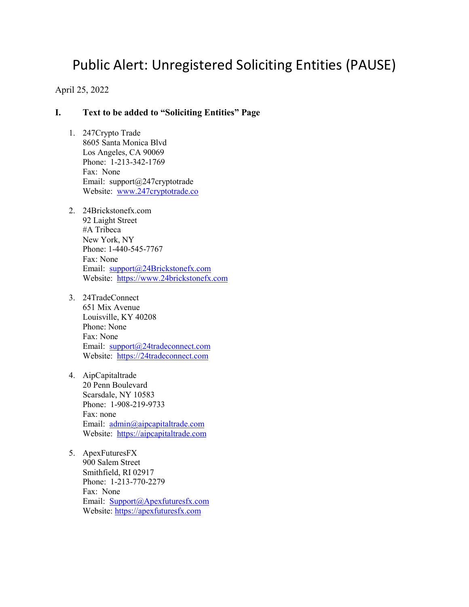# Public Alert: Unregistered Soliciting Entities (PAUSE)

April 25, 2022

### **I. Text to be added to "Soliciting Entities" Page**

- 1. 247Crypto Trade 8605 Santa Monica Blvd Los Angeles, CA 90069 Phone: 1-213-342-1769 Fax: None Email: support@247cryptotrade Website: [www.247cryptotrade.co](http://www.247cryptotrade.co/)
- 2. 24Brickstonefx.com 92 Laight Street #A Tribeca New York, NY Phone: 1-440-545-7767 Fax: None Email: [support@24Brickstonefx.com](mailto:support@24Brickstonefx.com)  Website: [https://www.24brickstonefx.com](https://www.24brickstonefx.com/)
- 3. 24TradeConnect 651 Mix Avenue Louisville, KY 40208 Phone: None Fax: None Email: [support@24tradeconnect.com](mailto:support@24tradeconnect.com) Website: [https://24tradeconnect.com](https://24tradeconnect.com/)
- 4. AipCapitaltrade 20 Penn Boulevard Scarsdale, NY 10583 Phone: 1-908-219-9733 Fax: none Email: [admin@aipcapitaltrade.com](mailto:admin@aipcapitaltrade.com) Website: [https://aipcapitaltrade.com](https://aipcapitaltrade.com/)
- 5. ApexFuturesFX 900 Salem Street Smithfield, RI 02917 Phone: 1-213-770-2279 Fax: None Email: [Support@Apexfuturesfx.com](mailto:Support@Apexfuturesfx.com) Website: [https://apexfuturesfx.com](https://apexfuturesfx.com/)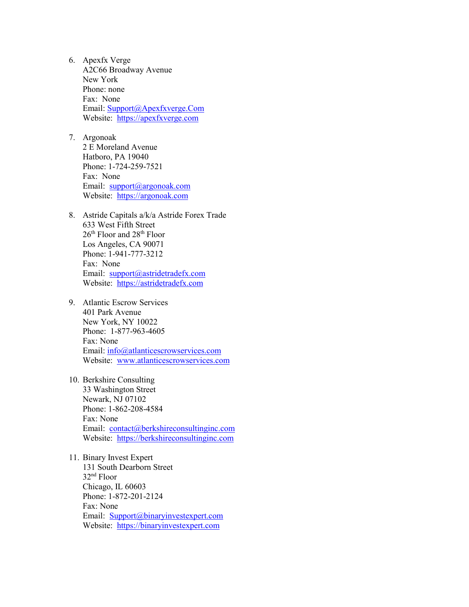- 6. Apexfx Verge A2C66 Broadway Avenue New York Phone: none Fax: None Email: [Support@Apexfxverge.Com](mailto:Support@Apexfxverge.Com) Website: [https://apexfxverge.com](https://apexfxverge.com/)
- 7. Argonoak 2 E Moreland Avenue Hatboro, PA 19040 Phone: 1-724-259-7521 Fax: None Email: [support@argonoak.com](mailto:support@argonoak.com) Website: [https://argonoak.com](https://argonoak.com/)
- 8. Astride Capitals a/k/a Astride Forex Trade 633 West Fifth Street 26th Floor and 28th Floor Los Angeles, CA 90071 Phone: 1-941-777-3212 Fax: None Email: [support@astridetradefx.com](mailto:support@astridetradefx.com) Website: [https://astridetradefx.com](https://astridetradefx.com/)
- 9. Atlantic Escrow Services 401 Park Avenue New York, NY 10022 Phone: 1-877-963-4605 Fax: None Email: [info@atlanticescrowservices.com](mailto:info@atlanticescrowservices.com) Website: [www.atlanticescrowservices.com](http://www.atlanticescrowservices.com/)
- 10. Berkshire Consulting 33 Washington Street Newark, NJ 07102 Phone: 1-862-208-4584 Fax: None Email: [contact@berkshireconsultinginc.com](mailto:contact@berkshireconsultinginc.com) Website: [https://berkshireconsultinginc.com](https://berkshireconsultinginc.com/)
- 11. Binary Invest Expert 131 South Dearborn Street 32nd Floor Chicago, IL 60603 Phone: 1-872-201-2124 Fax: None Email: [Support@binaryinvestexpert.com](mailto:Support@binaryinvestexpert.com) Website: [https://binaryinvestexpert.com](https://binaryinvestexpert.com/)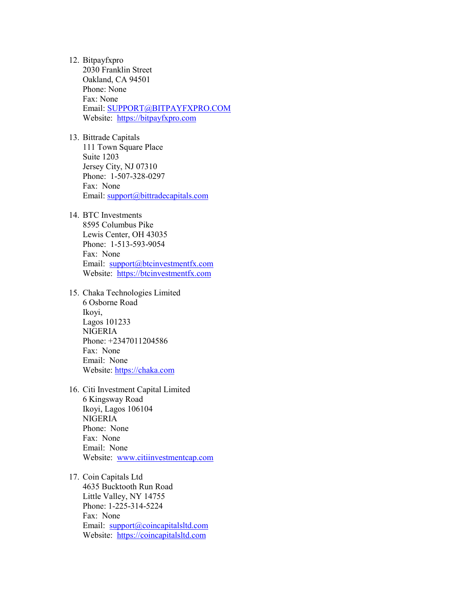- 12. Bitpayfxpro 2030 Franklin Street Oakland, CA 94501 Phone: None Fax: None Email: [SUPPORT@BITPAYFXPRO.COM](https://bitpayfxpro.com/index.html) Website: [https://bitpayfxpro.com](https://bitpayfxpro.com/)
- 13. Bittrade Capitals 111 Town Square Place Suite 1203 Jersey City, NJ 07310 Phone: 1-507-328-0297 Fax: None Email: [support@bittradecapitals.com](mailto:support@bittradecapitals.com)
- 14. BTC Investments 8595 Columbus Pike Lewis Center, OH 43035 Phone: 1-513-593-9054 Fax: None Email: [support@btcinvestmentfx.com](mailto:support@btcinvestmentfx.com) Website: [https://btcinvestmentfx.com](https://btcinvestmentfx.com/)
- 15. Chaka Technologies Limited 6 Osborne Road Ikoyi, Lagos 101233 NIGERIA Phone: +2347011204586 Fax: None Email: None Website: [https://chaka.com](https://chaka.com/)
- 16. Citi Investment Capital Limited 6 Kingsway Road Ikoyi, Lagos 106104 NIGERIA Phone: None Fax: None Email: None Website: [www.citiinvestmentcap.com](http://www.citiinvestmentcap.com/)
- 17. Coin Capitals Ltd 4635 Bucktooth Run Road Little Valley, NY 14755 Phone: 1-225-314-5224 Fax: None Email: [support@coincapitalsltd.com](mailto:support@coincapitalsltd.com) Website: [https://coincapitalsltd.com](https://coincapitalsltd.com/)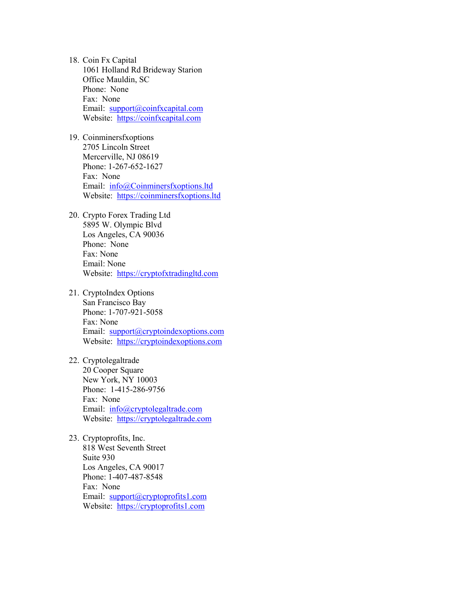- 18. Coin Fx Capital 1061 Holland Rd Brideway Starion Office Mauldin, SC Phone: None Fax: None Email: [support@coinfxcapital.com](mailto:support@coinfxcapital.com) Website: [https://coinfxcapital.com](https://coinfxcapital.com/)
- 19. Coinminersfxoptions 2705 Lincoln Street Mercerville, NJ 08619 Phone: 1-267-652-1627 Fax: None Email: [info@Coinminersfxoptions.ltd](mailto:info@Coinminersfxoptions.ltd) Website: [https://coinminersfxoptions.ltd](https://coinminersfxoptions.ltd/)
- 20. Crypto Forex Trading Ltd 5895 W. Olympic Blvd Los Angeles, CA 90036 Phone: None Fax: None Email: None Website: [https://cryptofxtradingltd.com](https://cryptofxtradingltd.com/)
- 21. CryptoIndex Options San Francisco Bay Phone: 1-707-921-5058 Fax: None Email: [support@cryptoindexoptions.com](mailto:support@cryptoindexoptions.com) Website: [https://cryptoindexoptions.com](https://cryptoindexoptions.com/)
- 22. Cryptolegaltrade 20 Cooper Square New York, NY 10003 Phone: 1-415-286-9756 Fax: None Email: [info@cryptolegaltrade.com](mailto:info@cryptolegaltrade.com) Website: [https://cryptolegaltrade.com](https://cryptolegaltrade.com/)
- 23. Cryptoprofits, Inc. 818 West Seventh Street Suite 930 Los Angeles, CA 90017 Phone: 1-407-487-8548 Fax: None Email: [support@cryptoprofits1.com](mailto:support@cryptoprofits1.com) Website: [https://cryptoprofits1.com](https://cryptoprofits1.com/)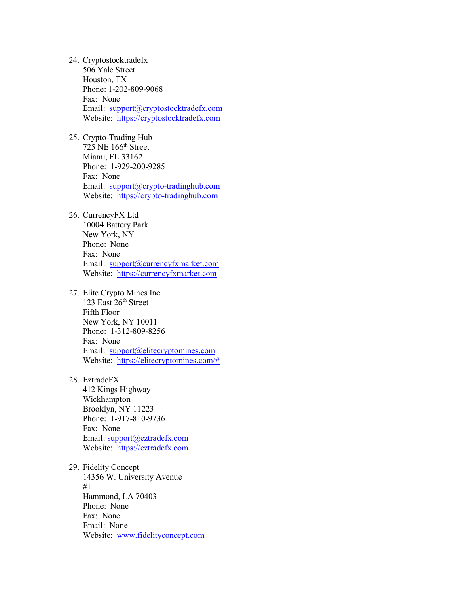- 24. Cryptostocktradefx 506 Yale Street Houston, TX Phone: 1-202-809-9068 Fax: None Email: [support@cryptostocktradefx.com](mailto:support@cryptostocktradefx.com) Website: [https://cryptostocktradefx.com](https://cryptostocktradefx.com/)
- 25. Crypto-Trading Hub 725 NE 166th Street Miami, FL 33162 Phone: 1-929-200-9285 Fax: None Email: [support@crypto-tradinghub.com](mailto:support@crypto-tradinghub.com) Website: [https://crypto-tradinghub.com](https://crypto-tradinghub.com/)
- 26. CurrencyFX Ltd 10004 Battery Park New York, NY Phone: None Fax: None Email: [support@currencyfxmarket.com](mailto:support@currencyfxmarket.com) Website: [https://currencyfxmarket.com](https://currencyfxmarket.com/)
- 27. Elite Crypto Mines Inc. 123 East  $26<sup>th</sup>$  Street Fifth Floor New York, NY 10011 Phone: 1-312-809-8256 Fax: None Email: [support@elitecryptomines.com](mailto:support@elitecryptomines.com) Website: [https://elitecryptomines.com/#](https://elitecryptomines.com/)
- 28. EztradeFX

412 Kings Highway Wickhampton Brooklyn, NY 11223 Phone: 1-917-810-9736 Fax: None Email: [support@eztradefx.com](mailto:support@eztradefx.com) Website: [https://eztradefx.com](https://eztradefx.com/) 

29. Fidelity Concept 14356 W. University Avenue #1 Hammond, LA 70403 Phone: None Fax: None Email: None Website: [www.fidelityconcept.com](http://www.fidelityconcept.com/)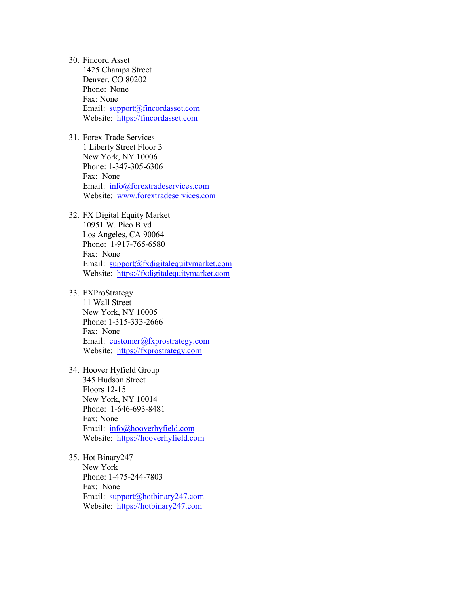- 30. Fincord Asset 1425 Champa Street Denver, CO 80202 Phone: None Fax: None Email: [support@fincordasset.com](mailto:support@fincordasset.com) Website: [https://fincordasset.com](https://fincordasset.com/)
- 31. Forex Trade Services 1 Liberty Street Floor 3 New York, NY 10006 Phone: 1-347-305-6306 Fax: None Email: [info@forextradeservices.com](mailto:info@forextradeservices.com) Website: [www.forextradeservices.com](http://www.forextradeservices.com/)
- 32. FX Digital Equity Market 10951 W. Pico Blvd Los Angeles, CA 90064 Phone: 1-917-765-6580 Fax: None Email: [support@fxdigitalequitymarket.com](mailto:support@fxdigitalequitymarket.com) Website: [https://fxdigitalequitymarket.com](https://fxdigitalequitymarket.com/)
- 33. FXProStrategy 11 Wall Street New York, NY 10005 Phone: 1-315-333-2666 Fax: None Email: [customer@fxprostrategy.com](mailto:customer@fxprostrategy.com) Website: [https://fxprostrategy.com](https://fxprostrategy.com/)
- 34. Hoover Hyfield Group 345 Hudson Street Floors 12-15 New York, NY 10014 Phone: 1-646-693-8481 Fax: None Email: [info@hooverhyfield.com](mailto:info@hooverhyfield.com) Website: [https://hooverhyfield.com](https://hooverhyfield.com/)
- 35. Hot Binary247 New York Phone: 1-475-244-7803 Fax: None Email: [support@hotbinary247.com](mailto:support@hotbinary247.com) Website: [https://hotbinary247.com](https://hotbinary247.com/)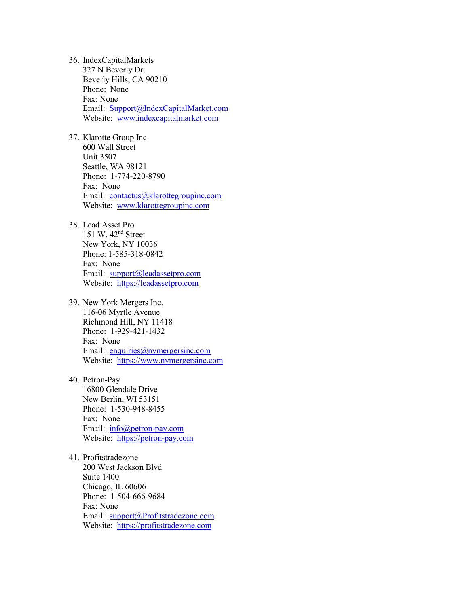- 36. IndexCapitalMarkets 327 N Beverly Dr. Beverly Hills, CA 90210 Phone: None Fax: None Email: [Support@IndexCapitalMarket.com](mailto:Support@IndexCapitalMarket.com) Website: [www.indexcapitalmarket.com](http://www.indexcapitalmarket.com/)
- 37. Klarotte Group Inc 600 Wall Street Unit 3507 Seattle, WA 98121 Phone: 1-774-220-8790 Fax: None Email: [contactus@klarottegroupinc.com](mailto:contactus@klarottegroupinc.com) Website: [www.klarottegroupinc.com](http://www.klarottegroupinc.com/)
- 38. Lead Asset Pro

151 W. 42nd Street New York, NY 10036 Phone: 1-585-318-0842 Fax: None Email: [support@leadassetpro.com](mailto:support@leadassetpro.com) Website: [https://leadassetpro.com](https://leadassetpro.com/) 

- 39. New York Mergers Inc. 116-06 Myrtle Avenue Richmond Hill, NY 11418 Phone: 1-929-421-1432 Fax: None Email: [enquiries@nymergersinc.com](mailto:enquiries@nymergersinc.com) Website: [https://www.nymergersinc.com](https://www.nymergersinc.com/)
- 40. Petron-Pay 16800 Glendale Drive New Berlin, WI 53151 Phone: 1-530-948-8455 Fax: None Email: [info@petron-pay.com](mailto:info@petron-pay.com) Website: [https://petron-pay.com](https://petron-pay.com/)
- 41. Profitstradezone 200 West Jackson Blvd Suite 1400 Chicago, IL 60606 Phone: 1-504-666-9684 Fax: None Email: [support@Profitstradezone.com](mailto:support@Profitstradezone.com) Website: [https://profitstradezone.com](https://profitstradezone.com/)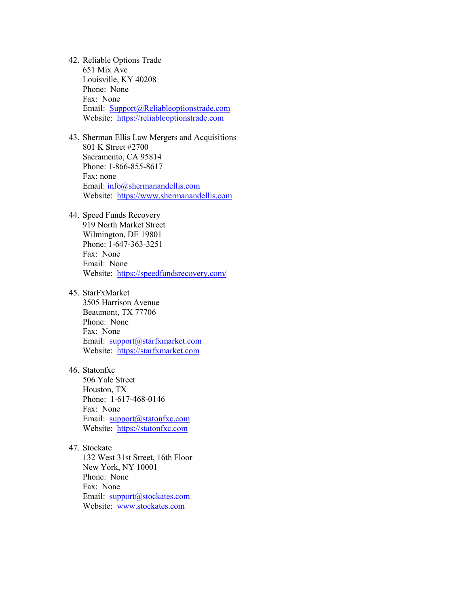- 42. Reliable Options Trade 651 Mix Ave Louisville, KY 40208 Phone: None Fax: None Email: [Support@Reliableoptionstrade.com](mailto:Support@Reliableoptionstrade.com) Website: [https://reliableoptionstrade.com](https://reliableoptionstrade.com/)
- 43. Sherman Ellis Law Mergers and Acquisitions 801 K Street #2700 Sacramento, CA 95814 Phone: 1-866-855-8617 Fax: none Email: [info@shermanandellis.com](mailto:info@shermanandellis.com) Website: [https://www.shermanandellis.com](https://www.shermanandellis.com/)
- 44. Speed Funds Recovery 919 North Market Street Wilmington, DE 19801 Phone: 1-647-363-3251 Fax: None Email: None Website:<https://speedfundsrecovery.com/>
- 45. StarFxMarket 3505 Harrison Avenue Beaumont, TX 77706 Phone: None Fax: None Email: [support@starfxmarket.com](mailto:support@starfxmarket.com)  Website: [https://starfxmarket.com](https://starfxmarket.com/)
- 46. Statonfxc 506 Yale Street Houston, TX Phone: 1-617-468-0146 Fax: None Email: [support@statonfxc.com](mailto:support@statonfxc.com) Website: [https://statonfxc.com](https://statonfxc.com/)
- 47. Stockate 132 West 31st Street, 16th Floor New York, NY 10001 Phone: None Fax: None Email: support@stockates.com Website: [www.stockates.com](http://www.stockates.com/)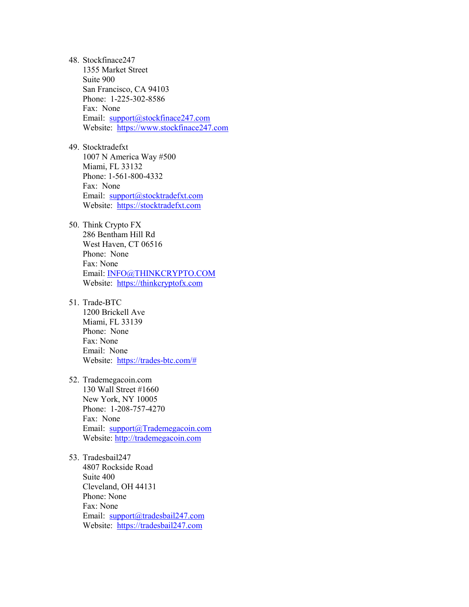48. Stockfinace247 1355 Market Street Suite 900 San Francisco, CA 94103 Phone: 1-225-302-8586 Fax: None Email: [support@stockfinace247.com](mailto:support@stockfinace247.com) Website: [https://www.stockfinace247.com](https://www.stockfinace247.com/) 49. Stocktradefxt 1007 N America Way #500 Miami, FL 33132 Phone: 1-561-800-4332 Fax: None Email: [support@stocktradefxt.com](mailto:support@stocktradefxt.com) Website: [https://stocktradefxt.com](https://stocktradefxt.com/)  50. Think Crypto FX 286 Bentham Hill Rd West Haven, CT 06516 Phone: None Fax: None Email: [INFO@THINKCRYPTO.COM](mailto:INFO@THINKCRYPTO.COM) Website: [https://thinkcryptofx.com](https://thinkcryptofx.com/)  51. Trade-BTC 1200 Brickell Ave Miami, FL 33139 Phone: None Fax: None Email: None Website: [https://trades-btc.com/#](https://trades-btc.com/)  52. Trademegacoin.com 130 Wall Street #1660 New York, NY 10005 Phone: 1-208-757-4270 Fax: None Email: [support@Trademegacoin.com](mailto:support@Trademegacoin.com) Website: [http://trademegacoin.com](http://trademegacoin.com/)  53. Tradesbail247 4807 Rockside Road Suite 400 Cleveland, OH 44131 Phone: None Fax: None

Email: [support@tradesbail247.com](mailto:support@tradesbail247.com) Website: [https://tradesbail247.com](https://tradesbail247.com/)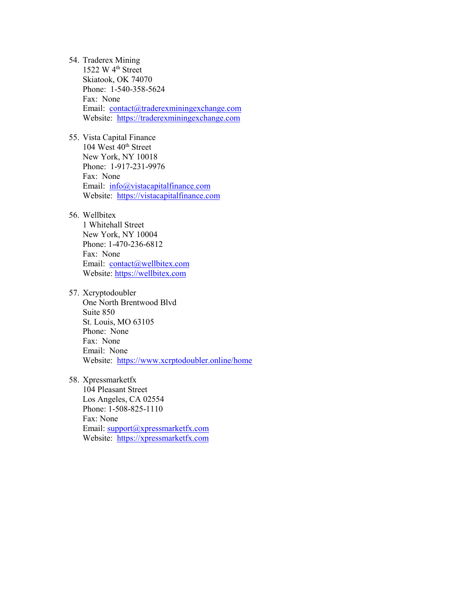- 54. Traderex Mining 1522 W 4th Street Skiatook, OK 74070 Phone: 1-540-358-5624 Fax: None Email: [contact@traderexminingexchange.com](mailto:contact@traderexminingexchange.com)  Website: [https://traderexminingexchange.com](https://traderexminingexchange.com/)
- 55. Vista Capital Finance 104 West 40<sup>th</sup> Street New York, NY 10018 Phone: 1-917-231-9976 Fax: None Email: [info@vistacapitalfinance.com](mailto:info@vistacapitalfinance.com) Website: [https://vistacapitalfinance.com](https://vistacapitalfinance.com/)
- 56. Wellbitex

1 Whitehall Street New York, NY 10004 Phone: 1-470-236-6812 Fax: None Email: [contact@wellbitex.com](mailto:contact@wellbitex.com) Website: [https://wellbitex.com](https://wellbitex.com/) 

- 57. Xcryptodoubler One North Brentwood Blvd Suite 850 St. Louis, MO 63105 Phone: None Fax: None Email: None Website:<https://www.xcrptodoubler.online/home>
- 58. Xpressmarketfx

104 Pleasant Street Los Angeles, CA 02554 Phone: 1-508-825-1110 Fax: None Email: [support@xpressmarketfx.com](mailto:support@xpressmarketfx.com) Website: [https://xpressmarketfx.com](https://xpressmarketfx.com/)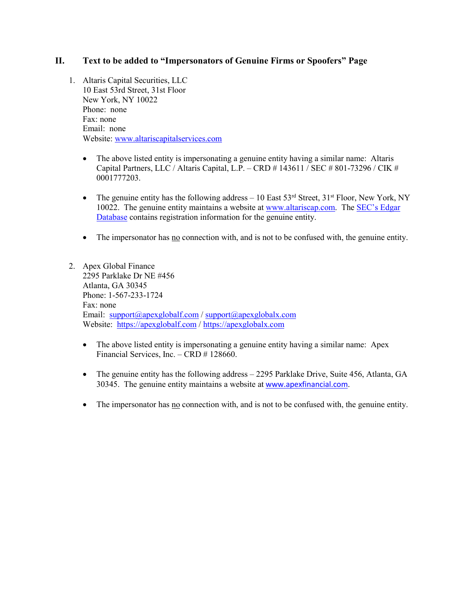## **II. Text to be added to "Impersonators of Genuine Firms or Spoofers" Page**

- 1. Altaris Capital Securities, LLC 10 East 53rd Street, 31st Floor New York, NY 10022 Phone: none Fax: none Email: none Website: [www.altariscapitalservices.com](http://www.altariscapitalservices.com/) 
	- The above listed entity is impersonating a genuine entity having a similar name: Altaris Capital Partners, LLC / Altaris Capital, L.P. – CRD # 143611 / SEC # 801-73296 / CIK # 0001777203.
	- The genuine entity has the following address  $-10$  East  $53<sup>rd</sup>$  Street,  $31<sup>st</sup>$  Floor, New York, NY 10022. The genuine entity maintains a website at [www.altariscap.com.](http://www.altariscap.com/) The [SEC's Edgar](https://www.sec.gov/edgar/browse/?CIK=1777203)  [Database](https://www.sec.gov/edgar/browse/?CIK=1777203) contains registration information for the genuine entity.
	- The impersonator has no connection with, and is not to be confused with, the genuine entity.
- 2. Apex Global Finance 2295 Parklake Dr NE #456 Atlanta, GA 30345 Phone: 1-567-233-1724 Fax: none Email: [support@apexglobalf.com](mailto:support@apexglobalf.com) / [support@apexglobalx.com](mailto:support@apexglobalx.com)  Website: [https://apexglobalf.com](https://apexglobalf.com/) / [https://apexglobalx.com](https://apexglobalx.com/) 
	- The above listed entity is impersonating a genuine entity having a similar name: Apex Financial Services, Inc. – CRD # 128660.
	- The genuine entity has the following address 2295 Parklake Drive, Suite 456, Atlanta, GA 30345. The genuine entity maintains a website at [www.apexfinancial.com](http://www.apexfinancial.com/).
	- The impersonator has no connection with, and is not to be confused with, the genuine entity.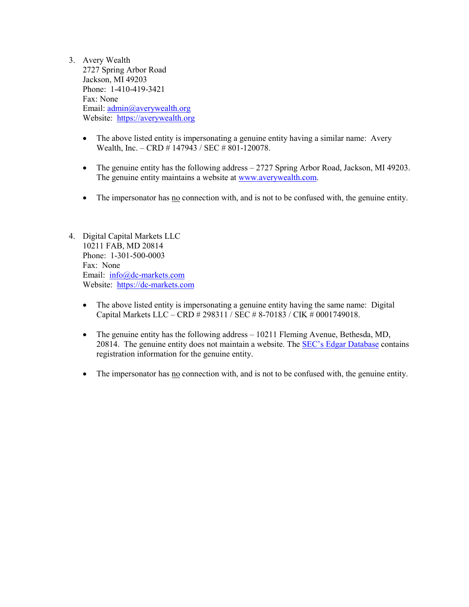- 3. Avery Wealth 2727 Spring Arbor Road Jackson, MI 49203 Phone: 1-410-419-3421 Fax: None Email: [admin@averywealth.org](mailto:admin@averywealth.org) Website: [https://averywealth.org](https://averywealth.org/)
	- The above listed entity is impersonating a genuine entity having a similar name: Avery Wealth, Inc. - CRD # 147943 / SEC # 801-120078.
	- The genuine entity has the following address 2727 Spring Arbor Road, Jackson, MI 49203. The genuine entity maintains a website at [www.averywealth.com.](http://www.averywealth.com/)
	- The impersonator has no connection with, and is not to be confused with, the genuine entity.
- 4. Digital Capital Markets LLC 10211 FAB, MD 20814 Phone: 1-301-500-0003 Fax: None Email: [info@dc-markets.com](mailto:info@dc-markets.com) Website: [https://dc-markets.com](https://dc-markets.com/) 
	- The above listed entity is impersonating a genuine entity having the same name: Digital Capital Markets LLC – CRD # 298311 / SEC # 8-70183 / CIK # 0001749018.
	- The genuine entity has the following address 10211 Fleming Avenue, Bethesda, MD, 20814. The genuine entity does not maintain a website. The [SEC's Edgar Database](https://www.sec.gov/edgar/browse/?CIK=1749018) contains registration information for the genuine entity.
	- The impersonator has no connection with, and is not to be confused with, the genuine entity.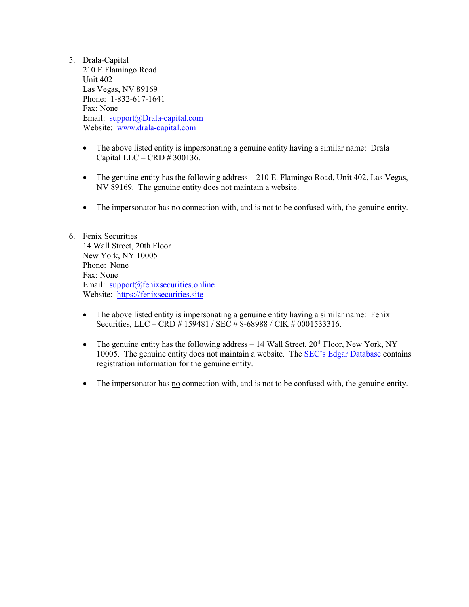- 5. Drala-Capital 210 E Flamingo Road Unit 402 Las Vegas, NV 89169 Phone: 1-832-617-1641 Fax: None Email: [support@Drala-capital.com](mailto:support@Drala-capital.com) Website: [www.drala-capital.com](http://www.drala-capital.com/) 
	- The above listed entity is impersonating a genuine entity having a similar name: Drala Capital LLC – CRD # 300136.
	- The genuine entity has the following address  $-210$  E. Flamingo Road, Unit 402, Las Vegas, NV 89169. The genuine entity does not maintain a website.
	- The impersonator has no connection with, and is not to be confused with, the genuine entity.
- 6. Fenix Securities 14 Wall Street, 20th Floor New York, NY 10005 Phone: None Fax: None Email: [support@fenixsecurities.online](mailto:support@fenixsecurities.online) Website: [https://fenixsecurities.site](https://fenixsecurities.site/)
	- The above listed entity is impersonating a genuine entity having a similar name: Fenix Securities, LLC – CRD # 159481 / SEC # 8-68988 / CIK # 0001533316.
	- The genuine entity has the following address  $-14$  Wall Street, 20<sup>th</sup> Floor, New York, NY 10005. The genuine entity does not maintain a website. The [SEC's Edgar Database](https://www.sec.gov/edgar/browse/?CIK=1533316) contains registration information for the genuine entity.
	- The impersonator has <u>no</u> connection with, and is not to be confused with, the genuine entity.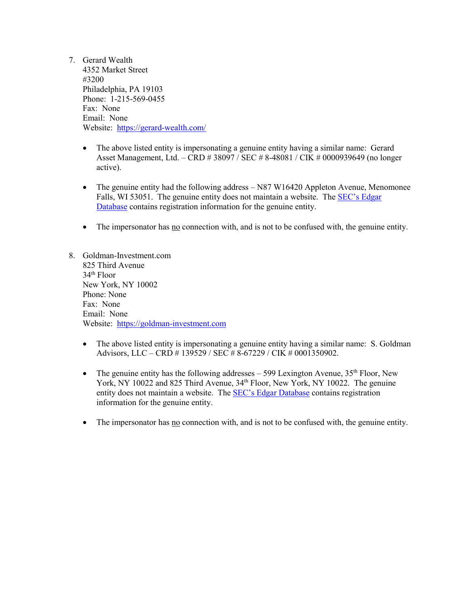- 7. Gerard Wealth 4352 Market Street #3200 Philadelphia, PA 19103 Phone: 1-215-569-0455 Fax: None Email: None Website:<https://gerard-wealth.com/>
	- The above listed entity is impersonating a genuine entity having a similar name: Gerard Asset Management, Ltd. – CRD # 38097 / SEC # 8-48081 / CIK # 0000939649 (no longer active).
	- The genuine entity had the following address N87 W16420 Appleton Avenue, Menomonee Falls, WI 53051. The genuine entity does not maintain a website. The SEC's Edgar [Database](https://www.sec.gov/cgi-bin/browse-edgar?CIK=939649) contains registration information for the genuine entity.
	- The impersonator has <u>no</u> connection with, and is not to be confused with, the genuine entity.
- 8. Goldman-Investment.com 825 Third Avenue 34th Floor New York, NY 10002 Phone: None Fax: None Email: None Website: [https://goldman-investment.com](https://goldman-investment.com/) 
	- The above listed entity is impersonating a genuine entity having a similar name: S. Goldman Advisors, LLC – CRD # 139529 / SEC # 8-67229 / CIK # 0001350902.
	- The genuine entity has the following addresses  $-$  599 Lexington Avenue, 35<sup>th</sup> Floor, New York, NY 10022 and 825 Third Avenue, 34<sup>th</sup> Floor, New York, NY 10022. The genuine entity does not maintain a website. The [SEC's Edgar Database](https://www.sec.gov/edgar/browse/?CIK=1350902) contains registration information for the genuine entity.
	- The impersonator has no connection with, and is not to be confused with, the genuine entity.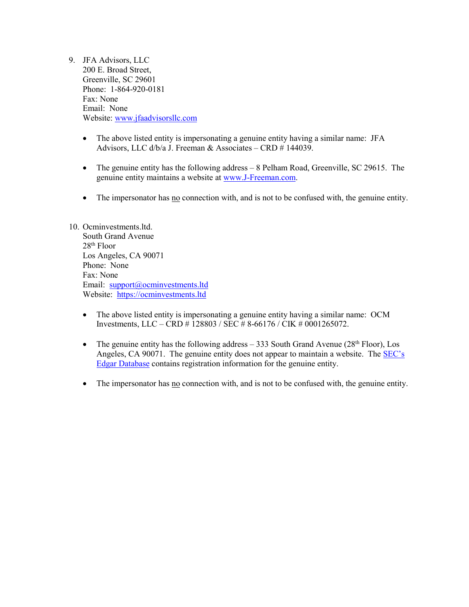- 9. JFA Advisors, LLC 200 E. Broad Street, Greenville, SC 29601 Phone: 1-864-920-0181 Fax: None Email: None Website: [www.jfaadvisorsllc.com](http://www.jfaadvisorsllc.com/) 
	- The above listed entity is impersonating a genuine entity having a similar name: JFA Advisors, LLC d/b/a J. Freeman & Associates – CRD # 144039.
	- The genuine entity has the following address 8 Pelham Road, Greenville, SC 29615. The genuine entity maintains a website at [www.J-Freeman.com.](http://www.j-freeman.com/)
	- The impersonator has <u>no</u> connection with, and is not to be confused with, the genuine entity.

#### 10. Ocminvestments.ltd. South Grand Avenue 28th Floor Los Angeles, CA 90071 Phone: None Fax: None Email: [support@ocminvestments.ltd](mailto:support@ocminvestments.ltd) Website: [https://ocminvestments.ltd](https://ocminvestments.ltd/)

- The above listed entity is impersonating a genuine entity having a similar name: OCM Investments, LLC – CRD # 128803 / SEC # 8-66176 / CIK # 0001265072.
- The genuine entity has the following address  $-333$  South Grand Avenue (28<sup>th</sup> Floor), Los Angeles, CA 90071. The genuine entity does not appear to maintain a website. The [SEC's](https://www.sec.gov/edgar/browse/?CIK=1265072)  [Edgar Database](https://www.sec.gov/edgar/browse/?CIK=1265072) contains registration information for the genuine entity.
- The impersonator has <u>no</u> connection with, and is not to be confused with, the genuine entity.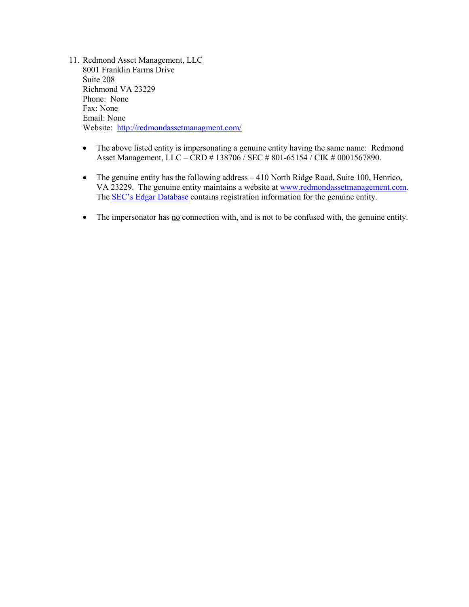- 11. Redmond Asset Management, LLC 8001 Franklin Farms Drive Suite 208 Richmond VA 23229 Phone: None Fax: None Email: None Website:<http://redmondassetmanagment.com/>
	- The above listed entity is impersonating a genuine entity having the same name: Redmond Asset Management, LLC – CRD # 138706 / SEC # 801-65154 / CIK # 0001567890.
	- The genuine entity has the following address 410 North Ridge Road, Suite 100, Henrico, VA 23229. The genuine entity maintains a website at [www.redmondassetmanagement.com.](http://www.redmondassetmanagement.com/) The **SEC's Edgar Database** contains registration information for the genuine entity.
	- The impersonator has no connection with, and is not to be confused with, the genuine entity.